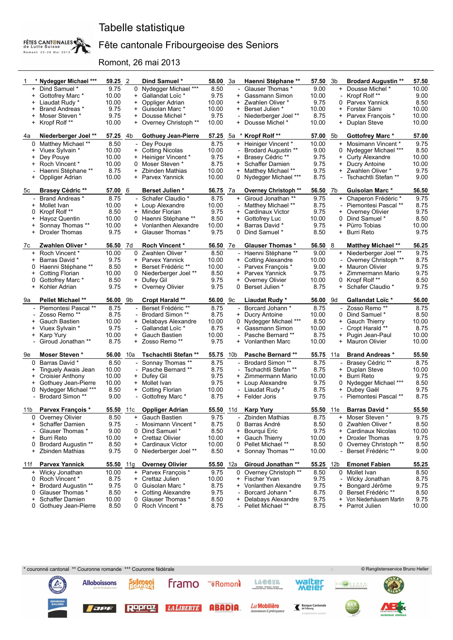### Tabelle statistique



### Fête cantonale Fribourgeoise des Seniors

Romont, 26 mai 2013

| -1                       | * Nydegger Michael ***                          | 59.25 2       |     | Dind Samuel *                          | <b>58.00</b> 3a |           | Haenni Stéphane **                             | 57.50 3b         |                          | <b>Brodard Augustin **</b>                    | 57.50         |
|--------------------------|-------------------------------------------------|---------------|-----|----------------------------------------|-----------------|-----------|------------------------------------------------|------------------|--------------------------|-----------------------------------------------|---------------|
|                          | + Dind Samuel *                                 | 9.75          |     | 0 Nydegger Michael ***                 | 8.50            |           | Glauser Thomas *                               | 9.00             |                          | + Dousse Michel*                              | 10.00         |
| $+$                      | Gottofrey Marc *                                | 10.00         |     | + Gallandat Loïc *                     | 9.75            | +         | Gassmann Simon                                 | 10.00            |                          | Kropf Rolf **                                 | 9.00          |
| $\pm$                    | Liaudat Rudy *                                  | 10.00         |     | + Oppliger Adrian                      | 10.00           |           | + Zwahlen Oliver *                             | 9.75             |                          | 0 Parvex Yannick                              | 8.50          |
| +                        | Brand Andreas *                                 | 9.75          |     | + Guisolan Marc *                      | 10.00           | $\ddot{}$ | <b>Berset Julien *</b>                         | 10.00            | $^{+}$                   | Forster Sàmi                                  | 10.00         |
|                          | + Moser Steven *                                | 9.75          |     | + Dousse Michel *                      | 9.75            |           | Niederberger Joel **                           | 8.75             |                          | + Parvex François *                           | 10.00         |
| $^{+}$                   | Kropf Rolf **                                   | 10.00         |     | + Overney Christoph **                 | 10.00           | $+$       | Dousse Michel *                                | 10.00            |                          | + Duplan Steve                                | 10.00         |
| 4a                       | Niederberger Joel **                            | 57.25 4b      |     | <b>Gothuey Jean-Pierre</b>             | 57.25           | 5а<br>*   | Kropf Rolf**                                   | 57.00            | 5b                       | <b>Gottofrey Marc *</b>                       | 57.00         |
| 0                        | Matthey Michael **                              | 8.50          |     | - Dey Pouye                            | 8.75            |           | + Heiniger Vincent *                           | 10.00            | $+$                      | Mosimann Vincent *                            | 9.75          |
| $^+$                     | Viuex Sylvain *                                 | 10.00         |     | + Cotting Nicolas                      | 10.00           |           | <b>Brodard Augustin **</b>                     | 9.00             |                          | Nydegger Michael ***                          | 8.50          |
| $\pm$                    | Dey Pouye                                       | 10.00         |     | + Heiniger Vincent *                   | 9.75            |           | + Brasey Cédric **                             | 9.75             |                          | + Curty Alexandre                             | 10.00         |
| $\pm$                    | Roch Vincent *                                  | 10.00         |     | 0 Moser Steven *                       | 8.75            | $\ddot{}$ | Schaffer Damien                                | 9.75             | $\ddot{}$                | Ducry Antoine                                 | 10.00         |
|                          | Haenni Stéphane **                              | 8.75          |     | + Zbinden Mathias                      | 10.00           |           | + Matthey Michael **                           | 9.75             |                          | + Zwahlen Oliver *                            | 9.75          |
| $^{+}$                   | Oppliger Adrian                                 | 10.00         |     | + Parvex Yannick                       | 10.00           | 0         | Nydegger Michael ***                           | 8.75             |                          | Tschachtli Stefan **                          | 9.00          |
| 5c                       | <b>Brasey Cédric **</b>                         | 57.00 6       |     | <b>Berset Julien*</b>                  | 56.75           | 7а        | Overney Christoph **                           | 56.50            | 7b                       | <b>Guisolan Marc *</b>                        | 56.50         |
| $\overline{\phantom{a}}$ | <b>Brand Andreas *</b>                          | 8.75          |     | - Schafer Claudio *                    | 8.75            |           | + Giroud Jonathan **                           | 9.75             |                          | + Chaperon Frédéric*                          | 9.75          |
| $\pm$                    | Mollet Ivan                                     | 10.00         |     | + Loup Alexandre                       | 10.00           |           | Matthey Michael **                             | 8.75             |                          | Piemontesi Pascal **                          | 8.75          |
| 0                        | Kropf Rolf**                                    | 8.50          |     | + Minder Florian                       | 9.75            | $+$       | Cardinaux Victor                               | 9.75             |                          | + Overney Olivier                             | 9.75          |
| +                        | Hayoz Quentin                                   | 10.00         |     | 0 Haenni Stéphane **                   | 8.50            | $\ddot{}$ | Gottofrey Luc                                  | 10.00            | 0                        | Dind Samuel *                                 | 8.50          |
| $^+$                     | Sonnay Thomas **                                | 10.00         |     | + Vonlanthen Alexandre                 | 10.00           | $\ddot{}$ | <b>Barras David *</b>                          | 9.75             |                          | + Pürro Tobias                                | 10.00         |
| $^{+}$                   | Droxler Thomas                                  | 9.75          |     | + Glauser Thomas *                     | 9.75            | 0         | Dind Samuel *                                  | 8.50             |                          | + Burri Reto                                  | 9.75          |
| 7c                       | Zwahlen Oliver*                                 | 56.50 7d      |     | <b>Roch Vincent*</b>                   | 56.50           | 7е        | <b>Glauser Thomas *</b>                        | 56.50 8          |                          | <b>Matthey Michael **</b>                     | 56.25         |
| $+$                      | Roch Vincent *                                  | 10.00         |     | 0 Zwahlen Oliver *                     | 8.50            |           | Haenni Stéphane **                             | 9.00             |                          | + Niederberger Joel **                        | 9.75          |
| $\ddot{}$                | Barras David *                                  | 9.75          |     | + Parvex Yannick                       | 10.00           | $\ddot{}$ | <b>Cotting Alexandre</b>                       | 10.00            |                          | Overney Christoph **                          | 8.75          |
| 0                        | Haenni Stéphane **                              | 8.50          |     | + Berset Frédéric **                   | 10.00           |           | Parvex François *                              | 9.00             |                          | + Mauron Olivier                              | 9.75          |
| +                        | Cotting Florian                                 | 10.00         |     | 0 Niederberger Joel **                 | 8.50            | $\ddot{}$ | Parvex Yannick                                 | 9.75             | $^{+}$                   | Zimmermann Mario                              | 9.75          |
| 0                        | Gottofrey Marc*                                 | 8.50          |     | + Dufey Gil                            | 9.75            |           | + Overney Olivier                              | 10.00            |                          | 0 Kropf Rolf **                               | 8.50          |
| $^{+}$                   | Kohler Adrian                                   | 9.75          |     | + Overney Olivier                      | 9.75            | 0         | <b>Berset Julien *</b>                         | 8.75             |                          | + Schafer Claudio *                           | 9.75          |
|                          |                                                 |               |     |                                        |                 |           |                                                |                  |                          |                                               |               |
| 9а                       | <b>Pellet Michael **</b>                        | 56.00 9b      |     | <b>Cropt Harald **</b>                 | 56.00 9c        |           | Liaudat Rudy *                                 | 56.00            | 9d                       | <b>Gallandat Loïc *</b>                       | 56.00         |
| $\overline{\phantom{a}}$ | Piemontesi Pascal **                            | 8.75          |     | - Berset Frédéric **                   | 8.75            |           | Borcard Johann *                               | 8.75             | $\overline{\phantom{a}}$ | Zosso Remo **                                 | 8.75          |
|                          | Zosso Remo **                                   | 8.75          |     | <b>Brodard Simon **</b>                | 8.75            | $\ddot{}$ | Ducry Antoine                                  | 10.00            | 0                        | Dind Samuel *                                 | 8.50          |
| $^+$                     | <b>Gauch Bastien</b>                            | 10.00         |     | + Delabays Alexandre                   | 10.00           | 0         | Nydegger Michael ***                           | 8.50             |                          | + Gauch Thierry                               | 10.00         |
| $^{+}$                   | Viuex Sylvain *                                 | 9.75          |     | Gallandat Loïc *                       | 8.75            | $\ddot{}$ | Gassmann Simon                                 | 10.00            |                          | Cropt Harald **                               | 8.75          |
|                          | + Karp Yury                                     | 10.00         |     | + Gauch Bastien                        | 10.00           |           | Pasche Bernard **                              | 8.75             |                          | + Pugin Jean-Paul                             | 10.00         |
|                          | Giroud Jonathan **                              | 8.75          |     | + Zosso Remo**                         | 9.75            | $+$       | Vonlanthen Marc                                | 10.00            |                          | + Mauron Olivier                              | 10.00         |
| 9e                       | <b>Moser Steven*</b>                            | 56.00         | 10a | Tschachtli Stefan **                   | 55.75           | 10b       | <b>Pasche Bernard **</b>                       | <b>55.75</b> 11a |                          | <b>Brand Andreas *</b>                        | 55.50         |
| 0                        | Barras David *                                  | 8.50          |     | - Sonnay Thomas **                     | 8.75            |           | <b>Brodard Simon **</b>                        | 8.75             | $\overline{\phantom{0}}$ | Brasey Cédric **                              | 8.75          |
| +                        | Tinguely Awais Jean                             | 10.00         |     | - Pasche Bernard **                    | 8.75            |           | Tschachtli Stefan **                           | 8.75             | $+$                      | Duplan Steve                                  | 10.00         |
| $^+$                     | <b>Croisier Anthony</b>                         | 10.00         |     | + Dufey Gil                            | 9.75            |           | + Zimmermann Mario                             | 10.00            |                          | + Burri Reto                                  | 9.75          |
| $\ddot{}$                | Gothuey Jean-Pierre                             | 10.00         |     | + Mollet Ivan                          | 9.75            | $\ddot{}$ | Loup Alexandre                                 | 9.75             | 0                        | Nydegger Michael ***                          | 8.50          |
| 0                        | Nydegger Michael ***                            | 8.50          |     | + Cotting Florian                      | 10.00           |           | - Liaudat Rudy *                               | 8.75             |                          | + Dubey Gaël                                  | 9.75          |
|                          | <b>Brodard Simon **</b>                         | 9.00          |     | - Gottofrey Marc *                     | 8.75            |           | + Felder Joris                                 | 9.75             | $\overline{\phantom{0}}$ | Piemontesi Pascal **                          | 8.75          |
| 11b                      | <b>Parvex Francois *</b>                        |               |     | 55.50 11c Oppliger Adrian              | 55.50 11d       |           | <b>Karp Yury</b>                               | <b>55.50</b> 11e |                          | <b>Barras David *</b>                         | 55.50         |
| 0                        | Overney Olivier                                 |               |     | + Gauch Bastien                        | 9.75            |           | Zbinden Mathias                                | 8.75             | $\pm$                    | Moser Steven *                                | 9.75          |
| +                        | Schaffer Damien                                 | 8.50<br>9.75  |     | Mosimann Vincent *                     | 8.75            | 0         | Barras André                                   | 8.50             | 0                        | Zwahlen Oliver *                              | 8.50          |
|                          | Glauser Thomas *                                | 9.00          |     | 0 Dind Samuel *                        | 8.50            | $\ddot{}$ | Bourqui Eric                                   | 9.75             | $\ddot{}$                | Cardinaux Nicolas                             | 10.00         |
| +                        | <b>Burri Reto</b>                               | 10.00         |     | + Crettaz Olivier                      | 10.00           | $\ddot{}$ | Gauch Thierry                                  | 10.00            | $\ddot{}$                | <b>Droxler Thomas</b>                         | 9.75          |
| 0                        | <b>Brodard Augustin **</b>                      |               |     | + Cardinaux Victor                     | 10.00           | 0         | Pellet Michael **                              | 8.50             | 0                        | Overney Christoph **                          |               |
| $\ddot{}$                | Zbinden Mathias                                 | 8.50<br>9.75  |     | 0 Niederberger Joel **                 | 8.50            | $\ddot{}$ | Sonnay Thomas **                               | 10.00            |                          | Berset Frédéric **                            | 8.50<br>9.00  |
| 11f                      | <b>Parvex Yannick</b>                           | 55.50         | 11g | <b>Overney Olivier</b>                 | 55.50           | 12a       | <b>Giroud Jonathan **</b>                      | 55.25            | 12b                      | <b>Emonet Fabien</b>                          | 55.25         |
| $\ddot{}$                | Wicky Jonathan                                  | 10.00         |     | + Parvex Francois *                    | 9.75            | 0         | Overney Christoph **                           | 8.50             |                          | 0 Mollet Ivan                                 | 8.50          |
| 0                        | Roch Vincent *                                  | 8.75          | $+$ | Crettaz Julien                         | 10.00           | $\ddot{}$ | Fischer Yvan                                   | 9.75             |                          | Wicky Jonathan                                | 8.75          |
| $+$                      | <b>Brodard Augustin **</b>                      | 9.75          |     | 0 Guisolan Marc *                      | 8.75            | $+$       | Vonlanthen Alexandre                           | 9.75             | $^{+}$                   | Bongard Jérôme                                | 9.75          |
| 0                        | Glauser Thomas *                                | 8.50          |     | + Cotting Alexandre                    | 9.75            |           | Borcard Johann *                               | 8.75             | 0                        | Berset Frédéric **                            | 8.50          |
| $+$                      | <b>Schaffer Damien</b><br>0 Gothuey Jean-Pierre | 10.00<br>8.50 |     | 0 Glauser Thomas *<br>0 Roch Vincent * | 8.50<br>8.75    | $+$       | Delabays Alexandre<br><b>Pellet Michael **</b> | 9.75<br>8.75     |                          | + Von Niederhäusern Martin<br>+ Parrot Julien | 9.75<br>10.00 |

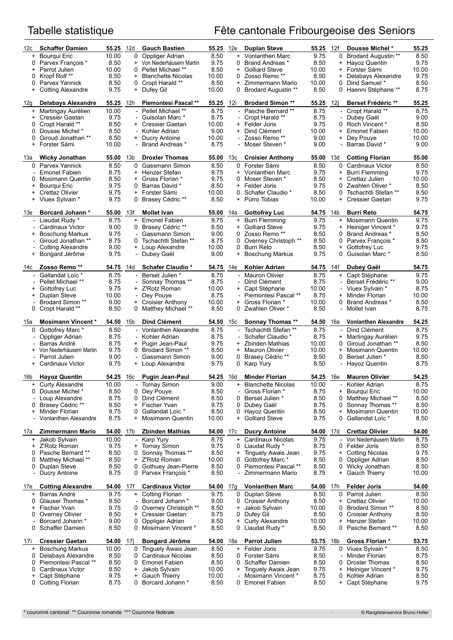# Tabelle statistique Fête cantonale Fribourgeoise des Seniors

| 12c                                | <b>Schaffer Damien</b>                     | 55.25 12d        |                                 | <b>Gauch Bastien</b>                    | <b>55.25</b> 12e |                | <b>Duplan Steve</b>                   | <b>55.25</b> 12f |                          | <b>Dousse Michel *</b>                      | 55.25         |
|------------------------------------|--------------------------------------------|------------------|---------------------------------|-----------------------------------------|------------------|----------------|---------------------------------------|------------------|--------------------------|---------------------------------------------|---------------|
| $+$                                | Bourgui Eric                               | 10.00            | 0                               | Oppliger Adrian                         | 8.50             | $\ddot{}$      | Vonlanthen Marc                       | 9.75             | 0                        | <b>Brodard Augustin **</b>                  | 8.50          |
| 0                                  | Parvex François *                          | 8.50             | $^{+}$                          | Von Niederhäusern Martin                | 9.75             | 0              | <b>Brand Andreas</b> *                | 8.50             | $^{+}$                   | Hayoz Quentin                               | 9.75          |
| $+$                                | Parrot Julien                              | 10.00            |                                 | 0 Pellet Michael **                     | 8.50             | $\ddot{}$      | <b>Golliard Steve</b>                 | 10.00            | $+$                      | Forster Sàmi                                | 10.00         |
| 0                                  | Kropf Rolf**                               | 8.50             | $+$                             | <b>Blanchette Nicolas</b>               | 10.00            | 0              | Zosso Remo **                         | 8.50             | $^{+}$                   | Delabays Alexandre                          | 9.75          |
| 0                                  | Parvex Yannick                             | 8.50             |                                 | 0 Cropt Harald **                       | 8.50             | $+$            | Zimmermann Mario                      | 10.00            | 0                        | Dind Samuel *                               | 8.50          |
| $+$                                | <b>Cotting Alexandre</b>                   | 9.75             |                                 | + Dufey Gil                             | 10.00            | 0              | <b>Brodard Augustin **</b>            | 8.50             |                          | 0 Haenni Stéphane **                        | 8.75          |
| 12g                                | <b>Delabays Alexandre</b>                  | 55.25            | 12h                             | <b>Piemontesi Pascal **</b>             | 55.25            | 12i            | <b>Brodard Simon **</b>               | 55.25            | 12i                      | <b>Berset Frédéric **</b>                   | 55.25         |
|                                    | + Martingay Aurélien                       | 10.00            |                                 | - Pellet Michael **                     | 8.75             |                | - Pasche Bernard **                   | 8.75             | $\overline{\phantom{a}}$ | Cropt Harald **                             | 8.75          |
| $\ddot{}$                          | Cressier Gaetan                            | 9.75             |                                 | Guisolan Marc *                         | 8.75             |                | Cropt Harald **                       | 8.75             |                          | Dubey Gaël                                  | 9.00          |
| 0                                  | Cropt Harald **                            | 8.50             |                                 | + Cressier Gaetan                       | 10.00            | $^{+}$         | Felder Joris                          | 9.75             | 0                        | Roch Vincent *                              | 8.50          |
| 0                                  | Dousse Michel *                            | 8.50             |                                 | Kohler Adrian                           | 9.00             | $\ddot{}$      | Dind Clément                          | 10.00            | $\ddot{}$                | <b>Emonet Fabien</b>                        | 10.00         |
| 0                                  | Giroud Jonathan **                         | 8.50             |                                 | + Ducry Antoine                         | 10.00            |                | - Zosso Remo **                       | 9.00             | $^{+}$                   | Dey Pouye                                   | 10.00         |
| $\ddot{}$                          | Forster Sàmi                               | 10.00            |                                 | <b>Brand Andreas</b> *                  | 8.75             |                | Moser Steven *                        | 9.00             |                          | Barras David *                              | 9.00          |
| 13а                                | <b>Wicky Jonathan</b>                      | 55.00            | 13b                             | <b>Droxler Thomas</b>                   | 55.00            | 13с            | <b>Croisier Anthony</b>               | 55.00            | 13d                      | <b>Cotting Florian</b>                      | 55.00         |
| 0                                  | Parvex Yannick                             | 8.50             | 0                               | Gassmann Simon                          | 8.50             | 0              | Forster Sàmi                          | 8.50             | 0                        | Cardinaux Victor                            | 8.50          |
|                                    | <b>Emonet Fabien</b>                       | 8.75             | $^{+}$                          | Henzer Stefan                           | 9.75             | $+$            | Vonlanthen Marc                       | 9.75             | $^{+}$                   | <b>Burri Flemming</b>                       | 9.75          |
| 0                                  | Mosimann Quentin                           | 8.50             | $\ddot{}$                       | Gross Florian *                         | 9.75             | 0              | Moser Steven *                        | 8.50             | +                        | Crettaz Julien                              | 10.00         |
| $\ddot{}$                          | Bourqui Eric                               | 9.75             | 0                               | Barras David *                          | 8.50             | $\ddot{}$      | Felder Joris                          | 9.75             | 0                        | Zwahlen Oliver *                            | 8.50          |
| $\ddot{}$<br>$+$                   | Crettaz Olivier                            | 9.75<br>9.75     |                                 | + Forster Sàmi                          | 10.00<br>8.50    | 0<br>$^{+}$    | Schafer Claudio *<br>Pürro Tobias     | 8.50<br>10.00    | 0<br>$+$                 | Tschachtli Stefan **                        | 8.50<br>9.75  |
|                                    | Viuex Sylvain *                            |                  |                                 | 0 Brasey Cédric **                      |                  |                |                                       |                  |                          | Cressier Gaetan                             |               |
| 13e                                | Borcard Johann*                            | 55.00            | 13f                             | <b>Mollet Ivan</b>                      | 55.00            | 14a            | <b>Gottofrey Luc</b>                  | 54.75            | 14b                      | <b>Burri Reto</b>                           | 54.75         |
|                                    | - Liaudat Rudy *                           | 8.75             | $+$                             | <b>Emonet Fabien</b>                    | 9.75             | $+$            | <b>Burri Flemming</b>                 | 9.75             | $+$                      | <b>Mosimann Quentin</b>                     | 9.75          |
|                                    | Cardinaux Victor                           | 9.00             | 0                               | Brasey Cédric **                        | 8.50             | +              | <b>Golliard Steve</b>                 | 9.75             | $^{+}$                   | <b>Heiniger Vincent *</b>                   | 9.75          |
| $\pm$                              | <b>Boschung Markus</b>                     | 9.75             |                                 | Gassmann Simon                          | 9.00             | 0              | Zosso Remo **                         | 8.50             | 0                        | <b>Brand Andreas</b> *                      | 8.50          |
|                                    | <b>Giroud Jonathan **</b>                  | 8.75<br>9.00     |                                 | 0 Tschachtli Stefan **                  | 8.75<br>10.00    | 0              | Overney Christoph **                  | 8.50             | 0<br>$\ddot{}$           | Parvex François *<br>Gottofrey Luc          | 8.50          |
| $\overline{\phantom{a}}$<br>$^{+}$ | <b>Cotting Alexandre</b><br>Bongard Jérôme | 9.75             |                                 | + Loup Alexandre<br>Dubey Gaël          | 9.00             | 0<br>$\ddot{}$ | Burri Reto<br><b>Boschung Markus</b>  | 8.50<br>9.75     | 0                        | Guisolan Marc *                             | 9.75<br>8.50  |
|                                    |                                            |                  |                                 |                                         |                  |                |                                       |                  |                          |                                             |               |
| 14с                                | Zosso Remo **                              | 54.75            | 14d                             | <b>Schafer Claudio *</b>                | 54.75            | 14e            | Kohler Adrian                         | 54.75            | 14f                      | Dubey Gaël                                  | 54.75         |
|                                    | Gallandat Loïc *<br>Pellet Michael **      | 8.75             | $\overline{\phantom{0}}$        | <b>Berset Julien *</b>                  | 8.75             |                | - Mauron Olivier                      | 8.75             | $+$                      | Capt Stéphane<br>Berset Frédéric **         | 9.75          |
| $\pm$                              | Gottofrey Luc                              | 8.75<br>9.75     |                                 | Sonnay Thomas **<br>+ Z'Rotz Roman      | 8.75<br>10.00    | $\ddot{}$      | Dind Clément<br>Capt Stéphane         | 8.75<br>10.00    |                          | Viuex Sylvain *                             | 9.00<br>8.75  |
| $\ddot{}$                          | Duplan Steve                               | 10.00            |                                 | Dey Pouye                               | 8.75             |                | Piemontesi Pascal **                  | 8.75             | $^{+}$                   | Minder Florian                              | 10.00         |
|                                    | <b>Brodard Simon **</b>                    | 9.00             |                                 | + Croisier Anthony                      | 10.00            | $\ddot{}$      | Gross Florian *                       | 10.00            | 0                        | <b>Brand Andreas</b> *                      | 8.50          |
| 0                                  | Cropt Harald **                            | 8.50             | 0                               | Matthey Michael **                      | 8.50             | 0              | Zwahlen Oliver *                      | 8.50             |                          | Mollet Ivan                                 | 8.75          |
|                                    |                                            |                  |                                 |                                         |                  |                |                                       |                  |                          |                                             |               |
| 15a                                | <b>Mosimann Vincent*</b>                   | 54.50            | 15b                             | Dind Clément                            | 54.50            | 15с            | <b>Sonnay Thomas **</b>               | 54.50            | 16a                      | <b>Vonlanthen Alexandre</b>                 | 54.25         |
| 0                                  | Gottofrey Marc*                            | 8.50             |                                 | - Vonlanthen Alexandre                  | 8.75             |                | Tschachtli Stefan **                  | 8.75             | $\blacksquare$           | Dind Clément                                | 8.75          |
|                                    | Oppliger Adrian                            | 8.75             |                                 | Kohler Adrian                           | 8.75             |                | Schafer Claudio *                     | 8.75             | $+$                      | Martingay Aurélien                          | 9.75          |
|                                    | Barras André                               | 8.75             |                                 | + Pugin Jean-Paul<br>0 Brodard Simon ** | 9.75             | $\ddot{}$      | <b>Zbinden Mathias</b>                | 10.00            | 0<br>$+$                 | Giroud Jonathan **                          | 8.50          |
| $^{+}$<br>$\overline{\phantom{0}}$ | Von Niederhäusern Martin<br>Parrot Julien  | 9.75<br>9.00     | $\overline{\phantom{a}}$        | Gassmann Simon                          | 8.50<br>9.00     | $\ddot{}$<br>0 | Mauron Olivier<br>Brasey Cédric **    | 10.00<br>8.50    | 0                        | Mosimann Quentin<br><b>Berset Julien *</b>  | 10.00<br>8.50 |
| $^{+}$                             | Cardinaux Victor                           | 9.75             |                                 | + Loup Alexandre                        | 9.75             | 0              | Karp Yury                             | 8.50             |                          | Hayoz Quentin                               | 8.75          |
|                                    |                                            |                  |                                 |                                         |                  |                |                                       |                  |                          |                                             |               |
| 16b                                | <b>Hayoz Quentin</b>                       | <b>54.25</b> 16c |                                 | <b>Pugin Jean-Paul</b>                  | <b>54.25</b> 16d |                | <b>Minder Florian</b>                 | <b>54.25</b> 16e |                          | <b>Mauron Olivier</b>                       | 54.25         |
| $\ddot{}$                          | <b>Curty Alexandre</b>                     | 10.00            |                                 | <b>Tornay Simon</b>                     | 9.00             | +              | <b>Blanchette Nicolas</b>             | 10.00            |                          | Kohler Adrian                               | 8.75          |
| 0                                  | Dousse Michel *                            | 8.50             | 0                               | Dey Pouye                               | 8.50             |                | Gross Florian *                       | 8.75             | $^{+}$                   | Bourqui Eric                                | 10.00         |
|                                    | Loup Alexandre                             | 8.75             | 0                               | Dind Clément                            | 8.50             | 0              | <b>Berset Julien *</b>                | 8.50             | 0                        | Matthey Michael **                          | 8.50          |
| 0<br>+                             | Brasey Cédric **<br>Minder Florian         | 8.50<br>9.75     | $^{+}$<br>0                     | Fischer Yvan<br>Gallandat Loïc *        | 9.75<br>8.50     | 0<br>0         | Dubey Gaël<br>Hayoz Quentin           | 8.75<br>8.50     | 0<br>+                   | Sonnay Thomas **<br><b>Mosimann Quentin</b> | 8.50<br>10.00 |
|                                    | <b>Vonlanthen Alexandre</b>                | 8.75             | $^{+}$                          | Mosimann Quentin                        | 10.00            | $\ddot{}$      | <b>Golliard Steve</b>                 | 9.75             | 0                        | Gallandat Loïc *                            | 8.50          |
|                                    |                                            |                  |                                 |                                         |                  |                |                                       |                  |                          |                                             |               |
| 17a                                | Zimmermann Mario                           | 54.00            | 17b                             | <b>Zbinden Mathias</b>                  | 54.00            | 17c            | <b>Ducry Antoine</b>                  | 54.00            | 17d                      | <b>Crettaz Olivier</b>                      | 54.00         |
| $+$<br>$\ddot{}$                   | Jakob Sylvain<br>Z'Rotz Roman              | 10.00            | $\overline{\phantom{a}}$<br>$+$ | <b>Karp Yury</b>                        | 8.75<br>9.75     | $+$            | Cardinaux Nicolas                     | 9.75<br>8.75     | $\overline{\phantom{a}}$ | Von Niederhäusern Martin<br>0 Felder Joris  | 8.75<br>8.50  |
| 0                                  | Pasche Bernard **                          | 9.75<br>8.50     | 0                               | Tornay Simon<br>Sonnay Thomas **        | 8.50             | 0<br>+         | Liaudat Rudy *<br>Tinguely Awais Jean | 9.75             | $^{+}$                   | <b>Cotting Nicolas</b>                      | 9.75          |
| 0                                  | Matthey Michael **                         | 8.50             |                                 | + Z'Rotz Roman                          | 10.00            | 0              | Gottofrey Marc*                       | 8.50             | 0                        | Oppliger Adrian                             | 8.50          |
| 0                                  | Duplan Steve                               | 8.50             | 0                               | Gothuey Jean-Pierre                     | 8.50             | 0              | Piemontesi Pascal **                  | 8.50             | 0                        | Wicky Jonathan                              | 8.50          |
| $\overline{\phantom{0}}$           | Ducry Antoine                              | 8.75             |                                 | 0 Parvex François *                     | 8.50             |                | Zimmermann Mario                      | 8.75             | $^{+}$                   | Gauch Thierry                               | 10.00         |
| 17e                                | <b>Cotting Alexandre</b>                   | 54.00            | 17f                             | <b>Cardinaux Victor</b>                 | 54.00            | 17g            | <b>Vonlanthen Marc</b>                | 54.00            | 17h                      | <b>Felder Joris</b>                         | 54.00         |
| $+$                                | Barras André                               | 9.75             |                                 | + Cotting Florian                       | 9.75             | 0              | Duplan Steve                          | 8.50             | 0                        | Parrot Julien                               | 8.50          |
| 0                                  | Glauser Thomas *                           | 8.50             |                                 | Borcard Johann *                        | 9.00             | 0              | <b>Croisier Anthony</b>               | 8.50             | $^{+}$                   | Crettaz Olivier                             | 10.00         |
| $\ddot{}$                          | Fischer Yvan                               | 9.75             | 0                               | Overney Christoph **                    | 8.50             | +              | Jakob Sylvain                         | 10.00            | 0                        | <b>Brodard Simon **</b>                     | 8.50          |
| 0                                  | Overney Olivier                            | 8.50             |                                 | + Cressier Gaetan                       | 9.75             | 0              | Dufey Gil                             | 8.50             | 0                        | <b>Croisier Anthony</b>                     | 8.50          |
|                                    | Borcard Johann *                           | 9.00             | 0                               | Oppliger Adrian                         | 8.50             | $\ddot{}$      | <b>Curty Alexandre</b>                | 10.00            | $+$                      | Henzer Stefan                               | 10.00         |
| 0                                  | Schaffer Damien                            | 8.50             | 0                               | Mosimann Vincent *                      | 8.50             | 0              | Liaudat Rudy *                        | 8.50             | 0                        | <b>Pasche Bernard **</b>                    | 8.50          |
| 17i                                | <b>Cressier Gaetan</b>                     | 54.00            | 17j                             | <b>Bongard Jérôme</b>                   | 54.00            | 18a            | <b>Parrot Julien</b>                  | 53.75            | 18b                      | Gross Florian *                             | 53.75         |
|                                    | + Boschung Markus                          | 10.00            | 0                               | Tinguely Awais Jean                     | 8.50             |                | + Felder Joris                        | 9.75             | 0                        | Viuex Sylvain *                             | 8.50          |
| 0                                  | Delabays Alexandre                         | 8.50             | 0                               | Cardinaux Nicolas                       | 8.50             | 0              | Forster Sàmi                          | 8.50             |                          | Minder Florian                              | 8.75          |
| 0                                  | Piemontesi Pascal **                       | 8.50             | 0                               | <b>Emonet Fabien</b>                    | 8.50             | 0              | Schaffer Damien                       | 8.50             | 0                        | <b>Droxler Thomas</b>                       | 8.50          |
| 0                                  | Cardinaux Victor                           | 8.50             | $\ddot{}$                       | Jakob Sylvain                           | 10.00            | $\ddot{}$      | Tinguely Awais Jean                   | 9.75             | $^{+}$                   | Heiniger Vincent *                          | 9.75          |
| $\ddot{}$                          | Capt Stéphane                              | 9.75             | $+$                             | Gauch Thierry                           | 10.00            |                | Mosimann Vincent *                    | 8.75             | 0                        | Kohler Adrian                               | 8.50          |
| 0                                  | <b>Cotting Florian</b>                     | 8.75             | 0                               | Borcard Johann *                        | 8.50             | 0              | <b>Emonet Fabien</b>                  | 8.50             | $^{+}$                   | Capt Stéphane                               | 9.75          |
|                                    |                                            |                  |                                 |                                         |                  |                |                                       |                  |                          |                                             |               |